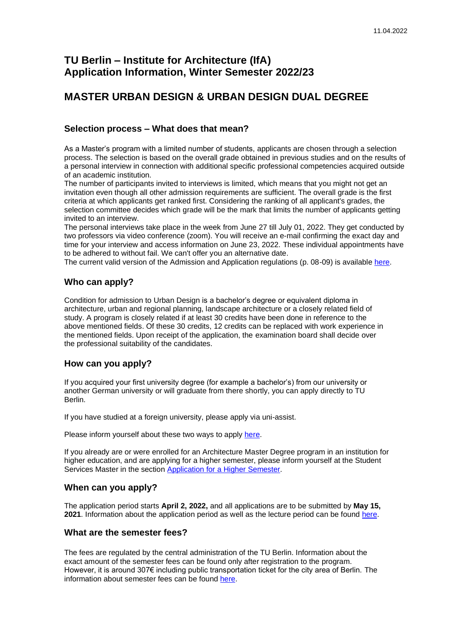# **TU Berlin – Institute for Architecture (IfA) Application Information, Winter Semester 2022/23**

# **MASTER URBAN DESIGN & URBAN DESIGN DUAL DEGREE**

# **Selection process – What does that mean?**

As a Master's program with a limited number of students, applicants are chosen through a selection process. The selection is based on the overall grade obtained in previous studies and on the results of a personal interview in connection with additional specific professional competencies acquired outside of an academic institution.

The number of participants invited to interviews is limited, which means that you might not get an invitation even though all other admission requirements are sufficient. The overall grade is the first criteria at which applicants get ranked first. Considering the ranking of all applicant's grades, the selection committee decides which grade will be the mark that limits the number of applicants getting invited to an interview.

The personal interviews take place in the week from June 27 till July 01, 2022. They get conducted by two professors via video conference (zoom). You will receive an e-mail confirming the exact day and time for your interview and access information on June 23, 2022. These individual appointments have to be adhered to without fail. We can't offer you an alternative date.

The current valid version of the Admission and Application regulations (p. 08-09) is available [here.](https://www.planen-bauen-umwelt.tu-berlin.de/fileadmin/f6/Studiengaenge/03_Ordnungen/UrbanDesign_M.Sc._2014_EN_unoffical_translation_not_legally_binding.pdf)

# **Who can apply?**

Condition for admission to Urban Design is a bachelor's degree or equivalent diploma in architecture, urban and regional planning, landscape architecture or a closely related field of study. A program is closely related if at least 30 credits have been done in reference to the above mentioned fields. Of these 30 credits, 12 credits can be replaced with work experience in the mentioned fields. Upon receipt of the application, the examination board shall decide over the professional suitability of the candidates.

# **How can you apply?**

If you acquired your first university degree (for example a bachelor's) from our university or another German university or will graduate from there shortly, you can apply directly to TU Berlin.

If you have studied at a foreign university, please apply via uni-assist.

Please inform yourself about these two ways to apply [here.](https://www.tu.berlin/en/studying/applying-and-enrolling/masters-application-enrollment/application/applying-for-the-first-degree-semester/)

If you already are or were enrolled for an Architecture Master Degree program in an institution for higher education, and are applying for a higher semester, please inform yourself at the Student Services Master in the section [Application for a Higher Semester.](https://www.tu.berlin/en/studying/applying-and-enrolling/masters-application-enrollment/application/applying-for-a-higher-degree-semester/)

# **When can you apply?**

The application period starts **April 2, 2022,** and all applications are to be submitted by **May 15, 2021**. Information about the application period as well as the lecture period can be found [here.](https://www.tu.berlin/en/studying/applying-and-enrolling/dates-deadlines/)

# **What are the semester fees?**

The fees are regulated by the central administration of the TU Berlin. Information about the exact amount of the semester fees can be found only after registration to the program. However, it is around 307€ including public transportation ticket for the city area of Berlin. The information about semester fees can be found [here.](https://www.tu.berlin/en/studieren/organizing-your-studies/financing-your-studies/)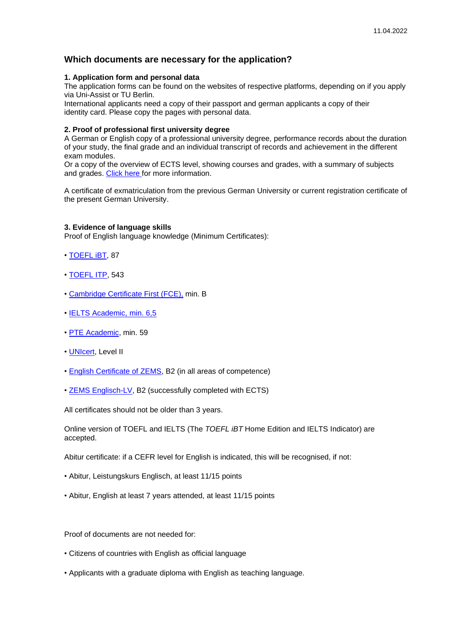# **Which documents are necessary for the application?**

### **1. Application form and personal data**

The application forms can be found on the websites of respective platforms, depending on if you apply via Uni-Assist or TU Berlin.

International applicants need a copy of their passport and german applicants a copy of their identity card. Please copy the pages with personal data.

### **2. Proof of professional first university degree**

A German or English copy of a professional university degree, performance records about the duration of your study, the final grade and an individual transcript of records and achievement in the different exam modules.

Or a copy of the overview of ECTS level, showing courses and grades, with a summary of subjects and grades. [Click here](https://www.tu.berlin/en/studying/applying-and-enrolling/masters-application-enrollment/application/ects-certificate/) for more information.

A certificate of exmatriculation from the previous German University or current registration certificate of the present German University.

### **3. Evidence of language skills**

Proof of English language knowledge (Minimum Certificates):

- • [TOEFL iBT,](https://www.ets.org/toefl/ibt/about) 87
- • [TOEFL ITP,](https://www.ets.org/toefl_itp/about/) 543
- • [Cambridge Certificate First \(FCE\),](https://www.cambridgeenglish.org/exams-and-tests/first/) min. B
- • [IELTS Academic,](https://www.ielts.org/about-the-test/test-format) min. 6,5
- · [PTE Academic,](https://pearsonpte.com/) min. 59
- • [UNIcert,](https://www.unicert-online.org/) Level II
- • [English Certificate of ZEMS,](https://www.zems.tu-berlin.de/sprachgutachten/englisch/) B2 (in all areas of competence)
- • [ZEMS Englisch-LV,](https://www.zems.tu-berlin.de/sprachen/englisch/lehrplan_englisch/) B2 (successfully completed with ECTS)

All certificates should not be older than 3 years.

Online version of TOEFL and IELTS (The *TOEFL iBT* Home Edition and IELTS Indicator) are accepted.

Abitur certificate: if a CEFR level for English is indicated, this will be recognised, if not:

- Abitur, Leistungskurs Englisch, at least 11/15 points
- Abitur, English at least 7 years attended, at least 11/15 points

Proof of documents are not needed for:

- Citizens of countries with English as official language
- Applicants with a graduate diploma with English as teaching language.